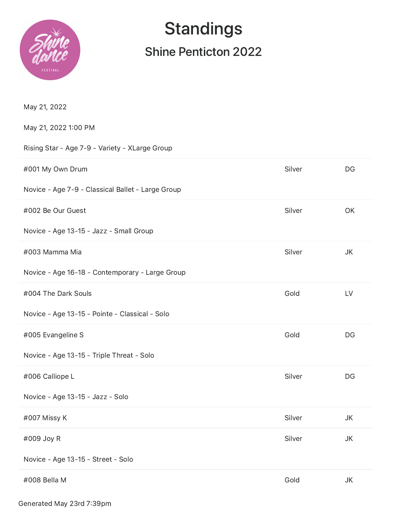

# **Standings**

## Shine Penticton 2022

| May 21, 2022                                      |        |           |
|---------------------------------------------------|--------|-----------|
| May 21, 2022 1:00 PM                              |        |           |
| Rising Star - Age 7-9 - Variety - XLarge Group    |        |           |
| #001 My Own Drum                                  | Silver | DG        |
| Novice - Age 7-9 - Classical Ballet - Large Group |        |           |
| #002 Be Our Guest                                 | Silver | OK        |
| Novice - Age 13-15 - Jazz - Small Group           |        |           |
| #003 Mamma Mia                                    | Silver | JK        |
| Novice - Age 16-18 - Contemporary - Large Group   |        |           |
| #004 The Dark Souls                               | Gold   | LV        |
| Novice - Age 13-15 - Pointe - Classical - Solo    |        |           |
| #005 Evangeline S                                 | Gold   | DG        |
| Novice - Age 13-15 - Triple Threat - Solo         |        |           |
| #006 Calliope L                                   | Silver | DG        |
| Novice - Age 13-15 - Jazz - Solo                  |        |           |
| #007 Missy K                                      | Silver | <b>JK</b> |
| #009 Joy R                                        | Silver | JK        |
| Novice - Age 13-15 - Street - Solo                |        |           |
| #008 Bella M                                      | Gold   | JK        |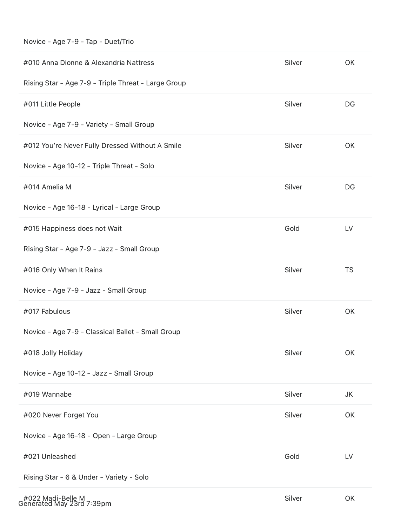| #010 Anna Dionne & Alexandria Nattress              | Silver | OK        |
|-----------------------------------------------------|--------|-----------|
| Rising Star - Age 7-9 - Triple Threat - Large Group |        |           |
| #011 Little People                                  | Silver | DG        |
| Novice - Age 7-9 - Variety - Small Group            |        |           |
| #012 You're Never Fully Dressed Without A Smile     | Silver | OK        |
| Novice - Age 10-12 - Triple Threat - Solo           |        |           |
| #014 Amelia M                                       | Silver | DG        |
| Novice - Age 16-18 - Lyrical - Large Group          |        |           |
| #015 Happiness does not Wait                        | Gold   | LV        |
| Rising Star - Age 7-9 - Jazz - Small Group          |        |           |
| #016 Only When It Rains                             | Silver | <b>TS</b> |
| Novice - Age 7-9 - Jazz - Small Group               |        |           |
| #017 Fabulous                                       | Silver | OK        |
| Novice - Age 7-9 - Classical Ballet - Small Group   |        |           |
| #018 Jolly Holiday                                  | Silver | OK        |
| Novice - Age 10-12 - Jazz - Small Group             |        |           |
| #019 Wannabe                                        | Silver | JK        |
| #020 Never Forget You                               | Silver | OK        |
| Novice - Age 16-18 - Open - Large Group             |        |           |
| #021 Unleashed                                      | Gold   | LV        |
| Rising Star - 6 & Under - Variety - Solo            |        |           |
| #022 Madi-Belle M                                   | Silver | OK        |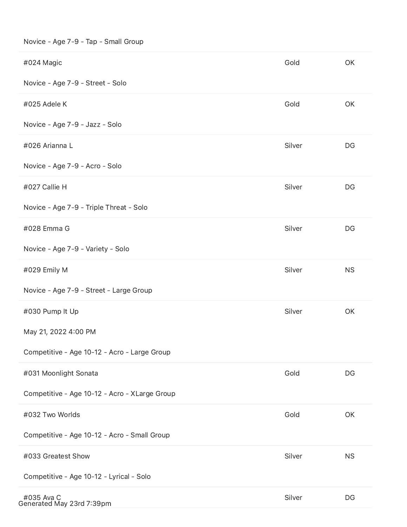### Novice - Age 7-9 - Tap - Small Group

| #024 Magic                                    | Gold   | OK        |
|-----------------------------------------------|--------|-----------|
| Novice - Age 7-9 - Street - Solo              |        |           |
| #025 Adele K                                  | Gold   | OK        |
| Novice - Age 7-9 - Jazz - Solo                |        |           |
| #026 Arianna L                                | Silver | DG        |
| Novice - Age 7-9 - Acro - Solo                |        |           |
| #027 Callie H                                 | Silver | DG        |
| Novice - Age 7-9 - Triple Threat - Solo       |        |           |
| #028 Emma G                                   | Silver | DG        |
| Novice - Age 7-9 - Variety - Solo             |        |           |
| #029 Emily M                                  | Silver | <b>NS</b> |
| Novice - Age 7-9 - Street - Large Group       |        |           |
| #030 Pump It Up                               | Silver | OK        |
| May 21, 2022 4:00 PM                          |        |           |
| Competitive - Age 10-12 - Acro - Large Group  |        |           |
| #031 Moonlight Sonata                         | Gold   | DG        |
| Competitive - Age 10-12 - Acro - XLarge Group |        |           |
| #032 Two Worlds                               | Gold   | OK        |
| Competitive - Age 10-12 - Acro - Small Group  |        |           |
| #033 Greatest Show                            | Silver | <b>NS</b> |
| Competitive - Age 10-12 - Lyrical - Solo      |        |           |
| #035 Ava C<br>Generated May 23rd 7:39pm       | Silver | DG        |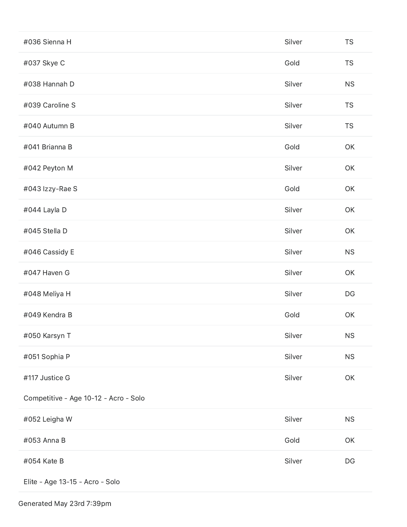| #036 Sienna H                         | Silver | <b>TS</b>              |
|---------------------------------------|--------|------------------------|
| #037 Skye C                           | Gold   | <b>TS</b>              |
| #038 Hannah D                         | Silver | <b>NS</b>              |
| #039 Caroline S                       | Silver | <b>TS</b>              |
| #040 Autumn B                         | Silver | <b>TS</b>              |
| #041 Brianna B                        | Gold   | OK                     |
| #042 Peyton M                         | Silver | OK                     |
| #043 Izzy-Rae S                       | Gold   | OK                     |
| #044 Layla D                          | Silver | OK                     |
| #045 Stella D                         | Silver | OK                     |
| #046 Cassidy E                        | Silver | <b>NS</b>              |
| #047 Haven G                          | Silver | OK                     |
| #048 Meliya H                         | Silver | DG                     |
| #049 Kendra B                         | Gold   | OK                     |
| #050 Karsyn T                         | Silver | <b>NS</b>              |
| #051 Sophia P                         | Silver | <b>NS</b>              |
| #117 Justice G                        | Silver | OK                     |
| Competitive - Age 10-12 - Acro - Solo |        |                        |
| #052 Leigha W                         | Silver | NS                     |
| #053 Anna B                           | Gold   | OK                     |
| #054 Kate B                           | Silver | $\mathsf{D}\mathsf{G}$ |
| Elite - Age 13-15 - Acro - Solo       |        |                        |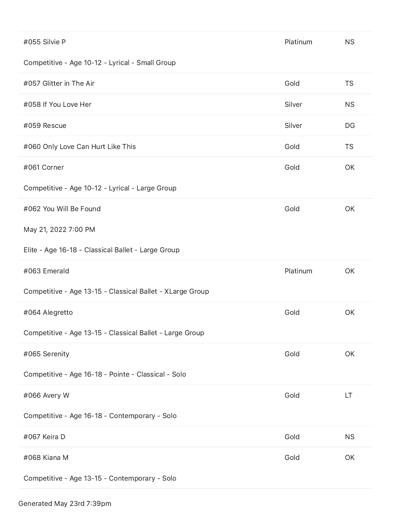| #055 Silvie P                                             | Platinum | <b>NS</b> |
|-----------------------------------------------------------|----------|-----------|
| Competitive - Age 10-12 - Lyrical - Small Group           |          |           |
| #057 Glitter in The Air                                   | Gold     | <b>TS</b> |
| #058 If You Love Her                                      | Silver   | <b>NS</b> |
| #059 Rescue                                               | Silver   | DG        |
| #060 Only Love Can Hurt Like This                         | Gold     | <b>TS</b> |
| #061 Corner                                               | Gold     | OK        |
| Competitive - Age 10-12 - Lyrical - Large Group           |          |           |
| #062 You Will Be Found                                    | Gold     | OK        |
| May 21, 2022 7:00 PM                                      |          |           |
| Elite - Age 16-18 - Classical Ballet - Large Group        |          |           |
|                                                           |          |           |
| #063 Emerald                                              | Platinum | OK        |
| Competitive - Age 13-15 - Classical Ballet - XLarge Group |          |           |
| #064 Alegretto                                            | Gold     | OK        |
| Competitive - Age 13-15 - Classical Ballet - Large Group  |          |           |
| #065 Serenity                                             | Gold     | OK        |
| Competitive - Age 16-18 - Pointe - Classical - Solo       |          |           |
| #066 Avery W                                              | Gold     | LT        |
| Competitive - Age 16-18 - Contemporary - Solo             |          |           |
| #067 Keira D                                              | Gold     | <b>NS</b> |
| #068 Kiana M                                              | Gold     | OK        |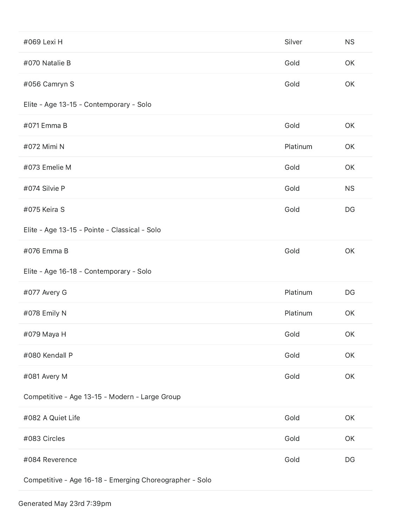| #069 Lexi H                                    | Silver   | <b>NS</b> |
|------------------------------------------------|----------|-----------|
| #070 Natalie B                                 | Gold     | OK        |
| #056 Camryn S                                  | Gold     | OK        |
| Elite - Age 13-15 - Contemporary - Solo        |          |           |
| #071 Emma B                                    | Gold     | OK        |
| #072 Mimi N                                    | Platinum | OK        |
| #073 Emelie M                                  | Gold     | OK        |
| #074 Silvie P                                  | Gold     | <b>NS</b> |
| #075 Keira S                                   | Gold     | DG        |
| Elite - Age 13-15 - Pointe - Classical - Solo  |          |           |
| #076 Emma B                                    | Gold     | OK        |
|                                                |          |           |
| Elite - Age 16-18 - Contemporary - Solo        |          |           |
| #077 Avery G                                   | Platinum | DG        |
| #078 Emily N                                   | Platinum | OK        |
| #079 Maya H                                    | Gold     | OK        |
| #080 Kendall P                                 | Gold     | OK        |
| #081 Avery M                                   | Gold     | OK        |
| Competitive - Age 13-15 - Modern - Large Group |          |           |
| #082 A Quiet Life                              | Gold     | OK        |
| #083 Circles                                   | Gold     | OK        |
| #084 Reverence                                 | Gold     | DG        |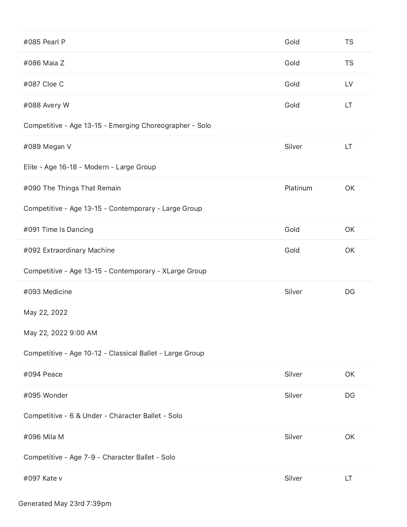| #085 Pearl P                                             | Gold     | <b>TS</b> |
|----------------------------------------------------------|----------|-----------|
| #086 Maia Z                                              | Gold     | <b>TS</b> |
| #087 Cloe C                                              | Gold     | LV        |
| #088 Avery W                                             | Gold     | LT        |
| Competitive - Age 13-15 - Emerging Choreographer - Solo  |          |           |
| #089 Megan V                                             | Silver   | LT        |
| Elite - Age 16-18 - Modern - Large Group                 |          |           |
| #090 The Things That Remain                              | Platinum | OK        |
| Competitive - Age 13-15 - Contemporary - Large Group     |          |           |
| #091 Time Is Dancing                                     | Gold     | OK        |
| #092 Extraordinary Machine                               | Gold     | OK        |
|                                                          |          |           |
| Competitive - Age 13-15 - Contemporary - XLarge Group    |          |           |
| #093 Medicine                                            | Silver   | DG        |
| May 22, 2022                                             |          |           |
| May 22, 2022 9:00 AM                                     |          |           |
| Competitive - Age 10-12 - Classical Ballet - Large Group |          |           |
| #094 Peace                                               | Silver   | OK        |
| #095 Wonder                                              | Silver   | DG        |
| Competitive - 6 & Under - Character Ballet - Solo        |          |           |
| #096 Mila M                                              | Silver   | OK        |
| Competitive - Age 7-9 - Character Ballet - Solo          |          |           |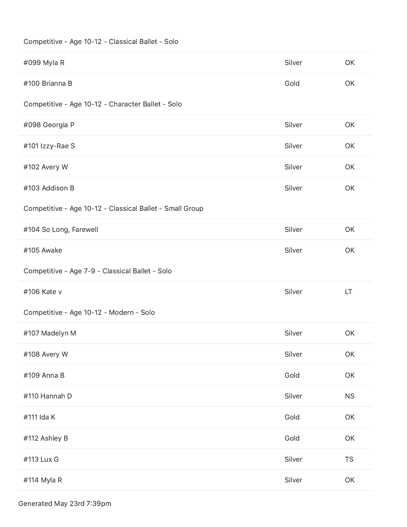### Competitive - Age 10-12 - Classical Ballet - Solo

| #099 Myla R                                              | Silver | OK        |
|----------------------------------------------------------|--------|-----------|
| #100 Brianna B                                           | Gold   | OK        |
| Competitive - Age 10-12 - Character Ballet - Solo        |        |           |
| #098 Georgia P                                           | Silver | OK        |
| #101 Izzy-Rae S                                          | Silver | OK        |
| #102 Avery W                                             | Silver | OK        |
| #103 Addison B                                           | Silver | OK        |
| Competitive - Age 10-12 - Classical Ballet - Small Group |        |           |
| #104 So Long, Farewell                                   | Silver | OK        |
| #105 Awake                                               | Silver | <b>OK</b> |
| Competitive - Age 7-9 - Classical Ballet - Solo          |        |           |
| #106 Kate v                                              | Silver | LT        |
| Competitive - Age 10-12 - Modern - Solo                  |        |           |
| #107 Madelyn M                                           | Silver | OK        |
| #108 Avery W                                             | Silver | OK        |
| #109 Anna B                                              | Gold   | OK        |
| #110 Hannah D                                            | Silver | <b>NS</b> |
| #111 Ida K                                               | Gold   | OK        |
| #112 Ashley B                                            | Gold   | OK        |
| #113 Lux G                                               | Silver | <b>TS</b> |
| #114 Myla R                                              | Silver | OK        |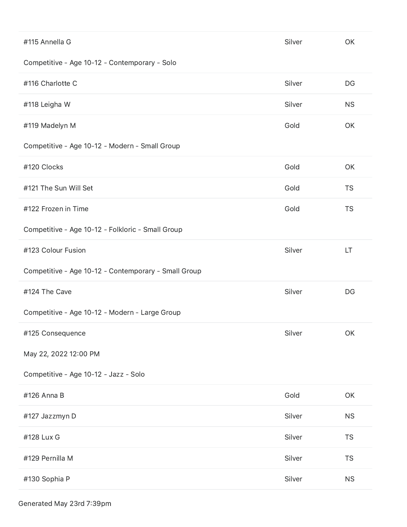| #115 Annella G                                       | Silver | OK        |
|------------------------------------------------------|--------|-----------|
| Competitive - Age 10-12 - Contemporary - Solo        |        |           |
| #116 Charlotte C                                     | Silver | DG        |
| #118 Leigha W                                        | Silver | <b>NS</b> |
| #119 Madelyn M                                       | Gold   | OK        |
| Competitive - Age 10-12 - Modern - Small Group       |        |           |
| #120 Clocks                                          | Gold   | OK        |
| #121 The Sun Will Set                                | Gold   | <b>TS</b> |
| #122 Frozen in Time                                  | Gold   | <b>TS</b> |
| Competitive - Age 10-12 - Folkloric - Small Group    |        |           |
| #123 Colour Fusion                                   | Silver | LT        |
|                                                      |        |           |
| Competitive - Age 10-12 - Contemporary - Small Group |        |           |
| #124 The Cave                                        | Silver | DG        |
| Competitive - Age 10-12 - Modern - Large Group       |        |           |
| #125 Consequence                                     | Silver | OK        |
| May 22, 2022 12:00 PM                                |        |           |
| Competitive - Age 10-12 - Jazz - Solo                |        |           |
| #126 Anna B                                          | Gold   | OK        |
| #127 Jazzmyn D                                       | Silver | <b>NS</b> |
| #128 Lux G                                           | Silver | <b>TS</b> |
| #129 Pernilla M                                      | Silver | <b>TS</b> |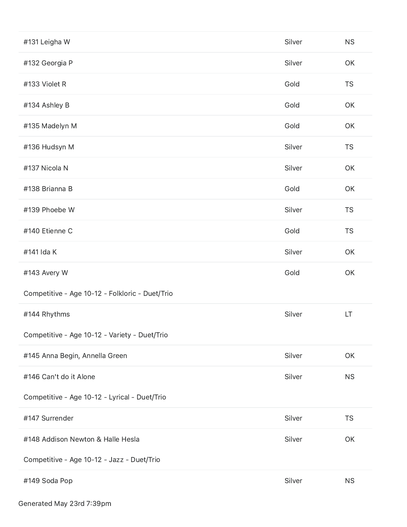| #131 Leigha W                                   | Silver | <b>NS</b> |
|-------------------------------------------------|--------|-----------|
| #132 Georgia P                                  | Silver | OK        |
| #133 Violet R                                   | Gold   | <b>TS</b> |
| #134 Ashley B                                   | Gold   | OK        |
| #135 Madelyn M                                  | Gold   | OK        |
| #136 Hudsyn M                                   | Silver | <b>TS</b> |
| #137 Nicola N                                   | Silver | OK        |
| #138 Brianna B                                  | Gold   | OK        |
| #139 Phoebe W                                   | Silver | <b>TS</b> |
| #140 Etienne C                                  | Gold   | <b>TS</b> |
| #141 Ida K                                      | Silver | OK        |
|                                                 |        |           |
| #143 Avery W                                    | Gold   | OK        |
| Competitive - Age 10-12 - Folkloric - Duet/Trio |        |           |
| #144 Rhythms                                    | Silver | LT        |
| Competitive - Age 10-12 - Variety - Duet/Trio   |        |           |
| #145 Anna Begin, Annella Green                  | Silver | OK        |
| #146 Can't do it Alone                          | Silver | <b>NS</b> |
| Competitive - Age 10-12 - Lyrical - Duet/Trio   |        |           |
| #147 Surrender                                  | Silver | <b>TS</b> |
| #148 Addison Newton & Halle Hesla               | Silver | OK        |
| Competitive - Age 10-12 - Jazz - Duet/Trio      |        |           |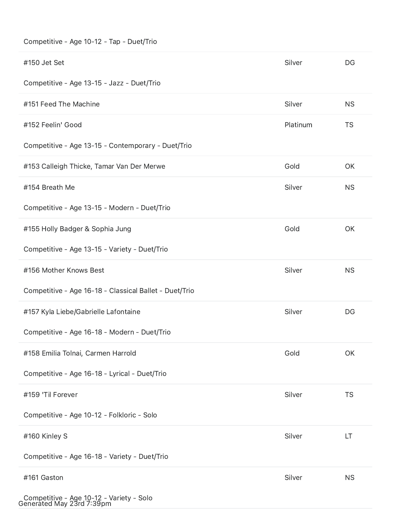### Competitive - Age 10-12 - Tap - Duet/Trio

| #150 Jet Set                                           | Silver   | DG        |
|--------------------------------------------------------|----------|-----------|
| Competitive - Age 13-15 - Jazz - Duet/Trio             |          |           |
| #151 Feed The Machine                                  | Silver   | <b>NS</b> |
| #152 Feelin' Good                                      | Platinum | <b>TS</b> |
| Competitive - Age 13-15 - Contemporary - Duet/Trio     |          |           |
| #153 Calleigh Thicke, Tamar Van Der Merwe              | Gold     | OK        |
| #154 Breath Me                                         | Silver   | <b>NS</b> |
| Competitive - Age 13-15 - Modern - Duet/Trio           |          |           |
| #155 Holly Badger & Sophia Jung                        | Gold     | OK        |
| Competitive - Age 13-15 - Variety - Duet/Trio          |          |           |
| #156 Mother Knows Best                                 | Silver   | <b>NS</b> |
| Competitive - Age 16-18 - Classical Ballet - Duet/Trio |          |           |
| #157 Kyla Liebe/Gabrielle Lafontaine                   | Silver   | DG        |
| Competitive - Age 16-18 - Modern - Duet/Trio           |          |           |
| #158 Emilia Tolnai, Carmen Harrold                     | Gold     | OK        |
| Competitive - Age 16-18 - Lyrical - Duet/Trio          |          |           |
| #159 'Til Forever                                      | Silver   | <b>TS</b> |
| Competitive - Age 10-12 - Folkloric - Solo             |          |           |
| #160 Kinley S                                          | Silver   | LT        |
| Competitive - Age 16-18 - Variety - Duet/Trio          |          |           |
| #161 Gaston                                            | Silver   | <b>NS</b> |
| Competitive - Age 10-12 - Variety - Solo               |          |           |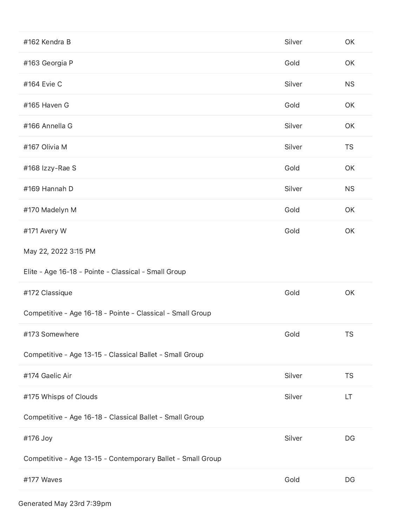| #162 Kendra B                                               | Silver | OK        |
|-------------------------------------------------------------|--------|-----------|
| #163 Georgia P                                              | Gold   | OK        |
| #164 Evie C                                                 | Silver | <b>NS</b> |
| #165 Haven G                                                | Gold   | OK        |
| #166 Annella G                                              | Silver | OK        |
| #167 Olivia M                                               | Silver | <b>TS</b> |
| #168 Izzy-Rae S                                             | Gold   | OK        |
| #169 Hannah D                                               | Silver | <b>NS</b> |
| #170 Madelyn M                                              | Gold   | OK        |
| #171 Avery W                                                | Gold   | OK        |
| May 22, 2022 3:15 PM                                        |        |           |
| Elite - Age 16-18 - Pointe - Classical - Small Group        |        |           |
| #172 Classique                                              | Gold   | OK        |
| Competitive - Age 16-18 - Pointe - Classical - Small Group  |        |           |
| #173 Somewhere                                              | Gold   | <b>TS</b> |
| Competitive - Age 13-15 - Classical Ballet - Small Group    |        |           |
|                                                             |        |           |
| #174 Gaelic Air                                             | Silver | <b>TS</b> |
| #175 Whisps of Clouds                                       | Silver | LT.       |
| Competitive - Age 16-18 - Classical Ballet - Small Group    |        |           |
| #176 Joy                                                    | Silver | DG        |
| Competitive - Age 13-15 - Contemporary Ballet - Small Group |        |           |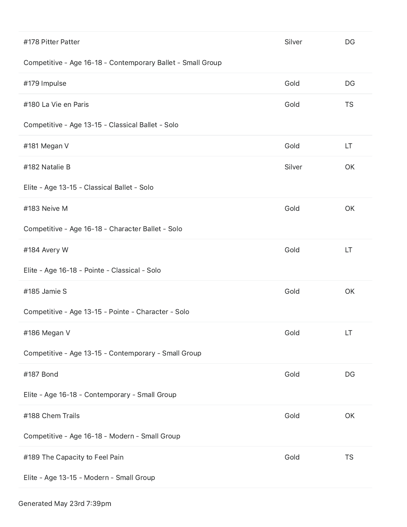| #178 Pitter Patter                                          | Silver | DG        |
|-------------------------------------------------------------|--------|-----------|
| Competitive - Age 16-18 - Contemporary Ballet - Small Group |        |           |
| #179 Impulse                                                | Gold   | DG        |
| #180 La Vie en Paris                                        | Gold   | <b>TS</b> |
| Competitive - Age 13-15 - Classical Ballet - Solo           |        |           |
| #181 Megan V                                                | Gold   | LT        |
| #182 Natalie B                                              | Silver | OK        |
| Elite - Age 13-15 - Classical Ballet - Solo                 |        |           |
| #183 Neive M                                                | Gold   | OK        |
| Competitive - Age 16-18 - Character Ballet - Solo           |        |           |
| #184 Avery W                                                | Gold   | LT        |
| Elite - Age 16-18 - Pointe - Classical - Solo               |        |           |
| #185 Jamie S                                                | Gold   | OK        |
| Competitive - Age 13-15 - Pointe - Character - Solo         |        |           |
| #186 Megan V                                                | Gold   | LT        |
| Competitive - Age 13-15 - Contemporary - Small Group        |        |           |
| #187 Bond                                                   | Gold   | DG        |
| Elite - Age 16-18 - Contemporary - Small Group              |        |           |
| #188 Chem Trails                                            | Gold   | OK        |
| Competitive - Age 16-18 - Modern - Small Group              |        |           |
| #189 The Capacity to Feel Pain                              | Gold   | <b>TS</b> |
| Elite - Age 13-15 - Modern - Small Group                    |        |           |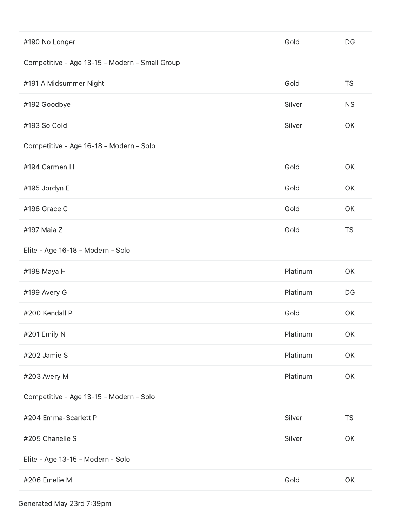| #190 No Longer                                 | Gold     | DG        |
|------------------------------------------------|----------|-----------|
| Competitive - Age 13-15 - Modern - Small Group |          |           |
| #191 A Midsummer Night                         | Gold     | <b>TS</b> |
| #192 Goodbye                                   | Silver   | <b>NS</b> |
| #193 So Cold                                   | Silver   | OK        |
| Competitive - Age 16-18 - Modern - Solo        |          |           |
| #194 Carmen H                                  | Gold     | OK        |
| #195 Jordyn E                                  | Gold     | OK        |
| #196 Grace C                                   | Gold     | OK        |
| #197 Maia Z                                    | Gold     | <b>TS</b> |
| Elite - Age 16-18 - Modern - Solo              |          |           |
| #198 Maya H                                    | Platinum | OK        |
| #199 Avery G                                   | Platinum | DG        |
| #200 Kendall P                                 | Gold     | OK        |
| #201 Emily N                                   | Platinum | OK        |
| #202 Jamie S                                   | Platinum | OK        |
| #203 Avery M                                   | Platinum | OK        |
| Competitive - Age 13-15 - Modern - Solo        |          |           |
| #204 Emma-Scarlett P                           | Silver   | <b>TS</b> |
| #205 Chanelle S                                | Silver   | OK        |
| Elite - Age 13-15 - Modern - Solo              |          |           |
| #206 Emelie M                                  | Gold     | OK        |
|                                                |          |           |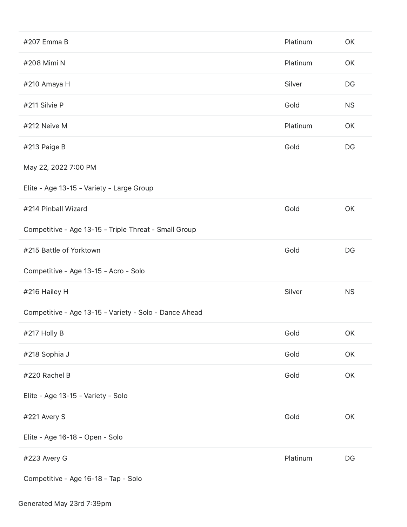| #207 Emma B                                            | Platinum | OK        |
|--------------------------------------------------------|----------|-----------|
| #208 Mimi N                                            | Platinum | OK        |
| #210 Amaya H                                           | Silver   | DG        |
| #211 Silvie P                                          | Gold     | <b>NS</b> |
| #212 Neive M                                           | Platinum | OK        |
| #213 Paige B                                           | Gold     | DG        |
| May 22, 2022 7:00 PM                                   |          |           |
| Elite - Age 13-15 - Variety - Large Group              |          |           |
| #214 Pinball Wizard                                    | Gold     | OK        |
| Competitive - Age 13-15 - Triple Threat - Small Group  |          |           |
| #215 Battle of Yorktown                                | Gold     | DG        |
|                                                        |          |           |
| Competitive - Age 13-15 - Acro - Solo                  |          |           |
| #216 Hailey H                                          | Silver   | <b>NS</b> |
| Competitive - Age 13-15 - Variety - Solo - Dance Ahead |          |           |
| #217 Holly B                                           | Gold     | OK        |
| #218 Sophia J                                          | Gold     | OK        |
| #220 Rachel B                                          | Gold     | OK        |
| Elite - Age 13-15 - Variety - Solo                     |          |           |
| #221 Avery S                                           | Gold     | OK        |
| Elite - Age 16-18 - Open - Solo                        |          |           |
| #223 Avery G                                           | Platinum | DG        |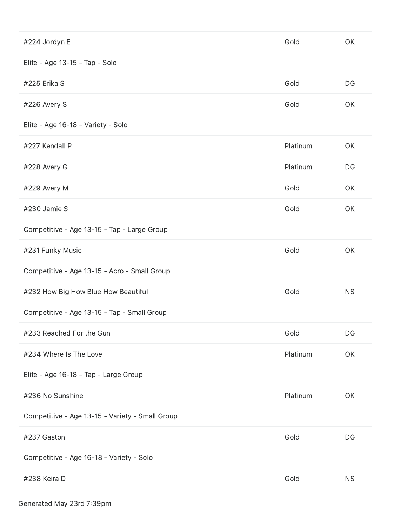| #224 Jordyn E                                   | Gold     | OK        |
|-------------------------------------------------|----------|-----------|
| Elite - Age 13-15 - Tap - Solo                  |          |           |
| #225 Erika S                                    | Gold     | DG        |
| #226 Avery S                                    | Gold     | OK        |
| Elite - Age 16-18 - Variety - Solo              |          |           |
| #227 Kendall P                                  | Platinum | OK        |
| #228 Avery G                                    | Platinum | DG        |
| #229 Avery M                                    | Gold     | OK        |
| #230 Jamie S                                    | Gold     | OK        |
| Competitive - Age 13-15 - Tap - Large Group     |          |           |
| #231 Funky Music                                | Gold     | OK        |
|                                                 |          |           |
| Competitive - Age 13-15 - Acro - Small Group    |          |           |
| #232 How Big How Blue How Beautiful             | Gold     | <b>NS</b> |
| Competitive - Age 13-15 - Tap - Small Group     |          |           |
| #233 Reached For the Gun                        | Gold     | DG        |
| #234 Where Is The Love                          | Platinum | OK        |
| Elite - Age 16-18 - Tap - Large Group           |          |           |
| #236 No Sunshine                                | Platinum | OK        |
| Competitive - Age 13-15 - Variety - Small Group |          |           |
| #237 Gaston                                     | Gold     | DG        |
| Competitive - Age 16-18 - Variety - Solo        |          |           |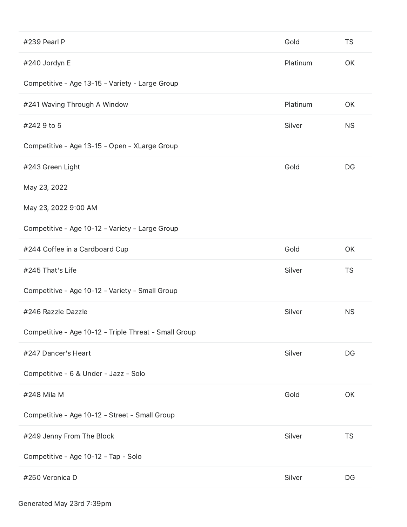| #239 Pearl P                                          | Gold     | <b>TS</b> |
|-------------------------------------------------------|----------|-----------|
| #240 Jordyn E                                         | Platinum | OK        |
| Competitive - Age 13-15 - Variety - Large Group       |          |           |
| #241 Waving Through A Window                          | Platinum | OK        |
| #2429 to 5                                            | Silver   | <b>NS</b> |
| Competitive - Age 13-15 - Open - XLarge Group         |          |           |
| #243 Green Light                                      | Gold     | DG        |
| May 23, 2022                                          |          |           |
| May 23, 2022 9:00 AM                                  |          |           |
| Competitive - Age 10-12 - Variety - Large Group       |          |           |
| #244 Coffee in a Cardboard Cup                        | Gold     | OK        |
|                                                       |          |           |
| #245 That's Life                                      | Silver   | <b>TS</b> |
| Competitive - Age 10-12 - Variety - Small Group       |          |           |
| #246 Razzle Dazzle                                    | Silver   | <b>NS</b> |
| Competitive - Age 10-12 - Triple Threat - Small Group |          |           |
| #247 Dancer's Heart                                   | Silver   | DG        |
| Competitive - 6 & Under - Jazz - Solo                 |          |           |
| #248 Mila M                                           | Gold     | OK        |
| Competitive - Age 10-12 - Street - Small Group        |          |           |
| #249 Jenny From The Block                             | Silver   | <b>TS</b> |
| Competitive - Age 10-12 - Tap - Solo                  |          |           |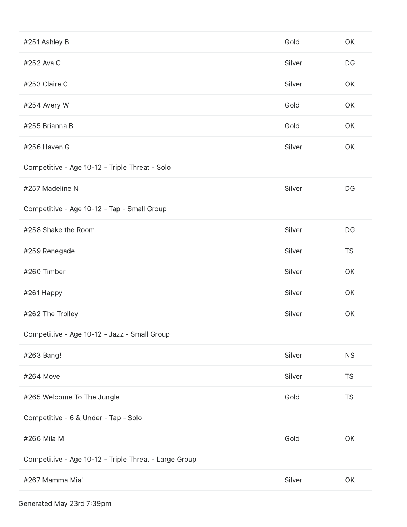| #251 Ashley B                                         | Gold   | OK        |
|-------------------------------------------------------|--------|-----------|
| #252 Ava C                                            | Silver | DG        |
| #253 Claire C                                         | Silver | OK        |
| #254 Avery W                                          | Gold   | OK        |
| #255 Brianna B                                        | Gold   | OK        |
| #256 Haven G                                          | Silver | OK        |
| Competitive - Age 10-12 - Triple Threat - Solo        |        |           |
| #257 Madeline N                                       | Silver | DG        |
| Competitive - Age 10-12 - Tap - Small Group           |        |           |
| #258 Shake the Room                                   | Silver | DG        |
| #259 Renegade                                         | Silver | <b>TS</b> |
| #260 Timber                                           | Silver | OK        |
| #261 Happy                                            | Silver | OK        |
| #262 The Trolley                                      | Silver | OK        |
| Competitive - Age 10-12 - Jazz - Small Group          |        |           |
| #263 Bang!                                            | Silver | <b>NS</b> |
| #264 Move                                             | Silver | <b>TS</b> |
| #265 Welcome To The Jungle                            | Gold   | <b>TS</b> |
| Competitive - 6 & Under - Tap - Solo                  |        |           |
| #266 Mila M                                           | Gold   | OK        |
| Competitive - Age 10-12 - Triple Threat - Large Group |        |           |
| #267 Mamma Mia!                                       | Silver | OK        |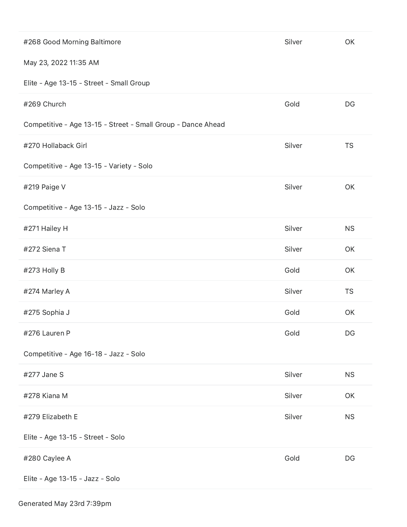| #268 Good Morning Baltimore                                  | Silver | OK        |
|--------------------------------------------------------------|--------|-----------|
| May 23, 2022 11:35 AM                                        |        |           |
| Elite - Age 13-15 - Street - Small Group                     |        |           |
| #269 Church                                                  | Gold   | DG        |
| Competitive - Age 13-15 - Street - Small Group - Dance Ahead |        |           |
| #270 Hollaback Girl                                          | Silver | <b>TS</b> |
| Competitive - Age 13-15 - Variety - Solo                     |        |           |
| #219 Paige V                                                 | Silver | OK        |
| Competitive - Age 13-15 - Jazz - Solo                        |        |           |
| #271 Hailey H                                                | Silver | <b>NS</b> |
| #272 Siena T                                                 | Silver | OK        |
| #273 Holly B                                                 | Gold   | OK        |
| #274 Marley A                                                | Silver | <b>TS</b> |
| #275 Sophia J                                                | Gold   | OK        |
| #276 Lauren P                                                | Gold   | DG        |
| Competitive - Age 16-18 - Jazz - Solo                        |        |           |
| #277 Jane S                                                  | Silver | <b>NS</b> |
| #278 Kiana M                                                 | Silver | OK        |
| #279 Elizabeth E                                             | Silver | <b>NS</b> |
| Elite - Age 13-15 - Street - Solo                            |        |           |
| #280 Caylee A                                                | Gold   | DG        |
| Elite - Age 13-15 - Jazz - Solo                              |        |           |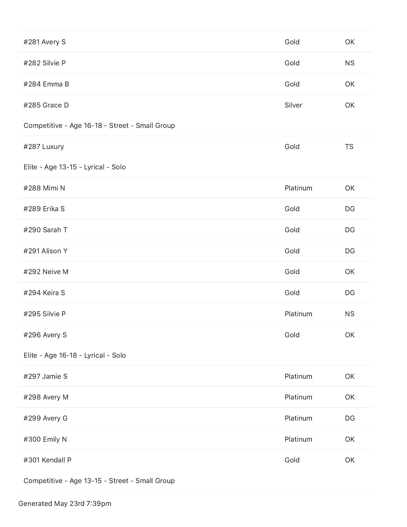| #281 Avery S                                   | Gold     | OK        |
|------------------------------------------------|----------|-----------|
| #282 Silvie P                                  | Gold     | <b>NS</b> |
| #284 Emma B                                    | Gold     | OK        |
| #285 Grace D                                   | Silver   | OK        |
| Competitive - Age 16-18 - Street - Small Group |          |           |
| #287 Luxury                                    | Gold     | <b>TS</b> |
| Elite - Age 13-15 - Lyrical - Solo             |          |           |
| #288 Mimi N                                    | Platinum | OK        |
| #289 Erika S                                   | Gold     | DG        |
| #290 Sarah T                                   | Gold     | DG        |
| #291 Alison Y                                  | Gold     | DG        |
| #292 Neive M                                   | Gold     | OK        |
| #294 Keira S                                   | Gold     | DG        |
| #295 Silvie P                                  | Platinum | <b>NS</b> |
| #296 Avery S                                   | Gold     | OK        |
| Elite - Age 16-18 - Lyrical - Solo             |          |           |
| #297 Jamie S                                   | Platinum | OK        |
| #298 Avery M                                   | Platinum | OK        |
| #299 Avery G                                   | Platinum | DG        |
| #300 Emily N                                   | Platinum | OK        |
| #301 Kendall P                                 | Gold     | OK        |
| Competitive - Age 13-15 - Street - Small Group |          |           |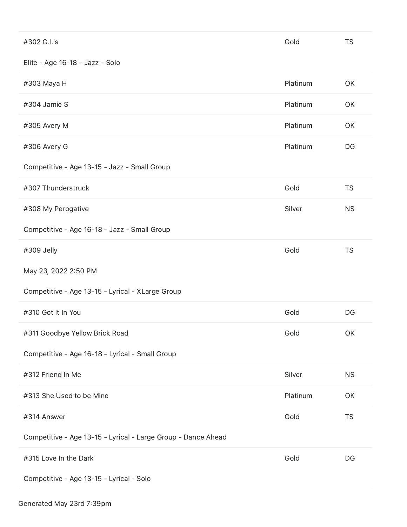| #302 G.I.'s                                                   | Gold     | <b>TS</b> |
|---------------------------------------------------------------|----------|-----------|
| Elite - Age 16-18 - Jazz - Solo                               |          |           |
| #303 Maya H                                                   | Platinum | OK        |
| #304 Jamie S                                                  | Platinum | OK        |
| #305 Avery M                                                  | Platinum | OK        |
| #306 Avery G                                                  | Platinum | DG        |
| Competitive - Age 13-15 - Jazz - Small Group                  |          |           |
| #307 Thunderstruck                                            | Gold     | <b>TS</b> |
| #308 My Perogative                                            | Silver   | <b>NS</b> |
| Competitive - Age 16-18 - Jazz - Small Group                  |          |           |
| #309 Jelly                                                    | Gold     | <b>TS</b> |
| May 23, 2022 2:50 PM                                          |          |           |
| Competitive - Age 13-15 - Lyrical - XLarge Group              |          |           |
| #310 Got It In You                                            | Gold     | DG        |
| #311 Goodbye Yellow Brick Road                                | Gold     | OK        |
| Competitive - Age 16-18 - Lyrical - Small Group               |          |           |
| #312 Friend In Me                                             | Silver   | <b>NS</b> |
| #313 She Used to be Mine                                      | Platinum | OK        |
| #314 Answer                                                   | Gold     | <b>TS</b> |
| Competitive - Age 13-15 - Lyrical - Large Group - Dance Ahead |          |           |
| #315 Love In the Dark                                         | Gold     | DG        |
| Competitive - Age 13-15 - Lyrical - Solo                      |          |           |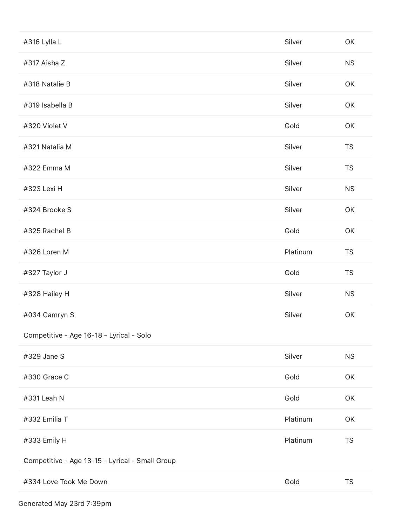| #316 Lylla L                                    | Silver   | OK            |
|-------------------------------------------------|----------|---------------|
| #317 Aisha Z                                    | Silver   | <b>NS</b>     |
| #318 Natalie B                                  | Silver   | OK            |
| #319 Isabella B                                 | Silver   | OK            |
| #320 Violet V                                   | Gold     | OK            |
| #321 Natalia M                                  | Silver   | <b>TS</b>     |
| #322 Emma M                                     | Silver   | <b>TS</b>     |
| #323 Lexi H                                     | Silver   | <b>NS</b>     |
| #324 Brooke S                                   | Silver   | OK            |
| #325 Rachel B                                   | Gold     | OK            |
| #326 Loren M                                    | Platinum | <b>TS</b>     |
| #327 Taylor J                                   | Gold     | <b>TS</b>     |
| #328 Hailey H                                   | Silver   | <b>NS</b>     |
| #034 Camryn S                                   | Silver   | OK            |
| Competitive - Age 16-18 - Lyrical - Solo        |          |               |
| #329 Jane S                                     | Silver   | <b>NS</b>     |
| #330 Grace C                                    | Gold     | OK            |
| #331 Leah N                                     | Gold     | OK            |
| #332 Emilia T                                   | Platinum | OK            |
| #333 Emily H                                    | Platinum | <b>TS</b>     |
| Competitive - Age 13-15 - Lyrical - Small Group |          |               |
| #334 Love Took Me Down                          | Gold     | $\mathsf{TS}$ |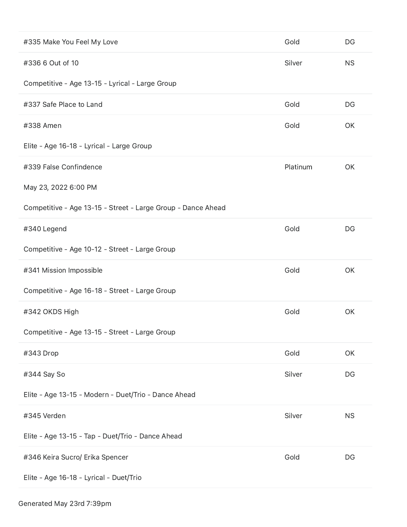| #335 Make You Feel My Love                                   | Gold     | DG        |
|--------------------------------------------------------------|----------|-----------|
| #336 6 Out of 10                                             | Silver   | <b>NS</b> |
| Competitive - Age 13-15 - Lyrical - Large Group              |          |           |
| #337 Safe Place to Land                                      | Gold     | DG        |
| #338 Amen                                                    | Gold     | OK        |
| Elite - Age 16-18 - Lyrical - Large Group                    |          |           |
| #339 False Confindence                                       | Platinum | OK        |
| May 23, 2022 6:00 PM                                         |          |           |
| Competitive - Age 13-15 - Street - Large Group - Dance Ahead |          |           |
| #340 Legend                                                  | Gold     | DG        |
| Competitive - Age 10-12 - Street - Large Group               |          |           |
| #341 Mission Impossible                                      | Gold     | OK        |
| Competitive - Age 16-18 - Street - Large Group               |          |           |
| #342 OKDS High                                               | Gold     | OK        |
| Competitive - Age 13-15 - Street - Large Group               |          |           |
| #343 Drop                                                    | Gold     | OK        |
| #344 Say So                                                  | Silver   | DG        |
| Elite - Age 13-15 - Modern - Duet/Trio - Dance Ahead         |          |           |
| #345 Verden                                                  | Silver   | <b>NS</b> |
| Elite - Age 13-15 - Tap - Duet/Trio - Dance Ahead            |          |           |
| #346 Keira Sucro/ Erika Spencer                              | Gold     | DG        |
| Elite - Age 16-18 - Lyrical - Duet/Trio                      |          |           |